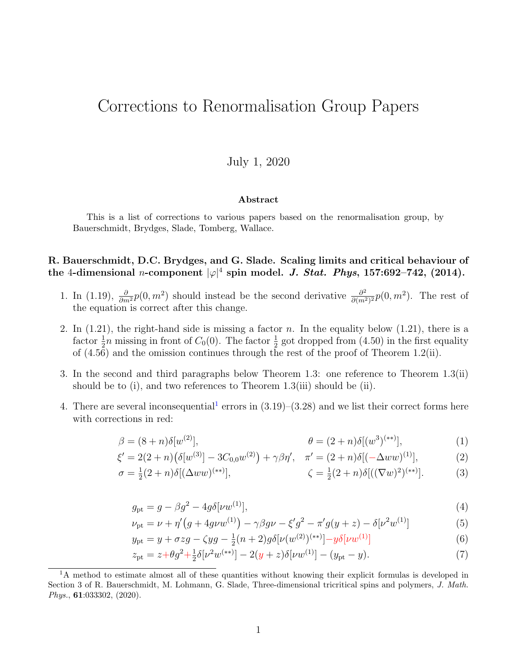# Corrections to Renormalisation Group Papers

## July 1, 2020

#### <span id="page-0-1"></span>Abstract

This is a list of corrections to various papers based on the renormalisation group, by Bauerschmidt, Brydges, Slade, Tomberg, Wallace.

## R. Bauerschmidt, D.C. Brydges, and G. Slade. Scaling limits and critical behaviour of the 4-dimensional *n*-component  $|\varphi|^4$  spin model. *J. Stat. Phys*, 157:692–742, (2014).

- 1. In (1.19),  $\frac{\partial}{\partial m^2} p(0, m^2)$  should instead be the second derivative  $\frac{\partial^2}{\partial (m^2)}$  $\frac{\partial^2}{\partial (m^2)^2} p(0, m^2)$ . The rest of the equation is correct after this change.
- 2. In  $(1.21)$ , the right-hand side is missing a factor n. In the equality below  $(1.21)$ , there is a factor  $\frac{1}{2}n$  missing in front of  $C_0(0)$ . The factor  $\frac{1}{2}$  got dropped from (4.50) in the first equality of (4.56) and the omission continues through the rest of the proof of Theorem 1.2(ii).
- 3. In the second and third paragraphs below Theorem 1.3: one reference to Theorem 1.3(ii) should be to (i), and two references to Theorem 1.3(iii) should be (ii).
- 4. There are several inconsequential<sup>[1](#page-0-0)</sup> errors in  $(3.19)$ – $(3.28)$  and we list their correct forms here with corrections in red:

$$
\beta = (8+n)\delta[w^{(2)}], \qquad \beta = (2+n)\delta[(w^3)^{(**)}], \qquad (1)
$$

$$
\xi' = 2(2+n)\big(\delta[w^{(3)}] - 3C_{0,0}w^{(2)}\big) + \gamma\beta\eta', \quad \pi' = (2+n)\delta[(-\Delta ww)^{(1)}],\tag{2}
$$

$$
\sigma = \frac{1}{2}(2+n)\delta[(\Delta ww)^{(**)}], \qquad \zeta = \frac{1}{2}(2+n)\delta[((\nabla w)^2)^{(**)}]. \tag{3}
$$

$$
g_{\rm pt} = g - \beta g^2 - 4g \delta[\nu w^{(1)}],\tag{4}
$$

$$
\nu_{\rm pt} = \nu + \eta' \big(g + 4g\nu w^{(1)}\big) - \gamma \beta g\nu - \xi' g^2 - \pi' g(y + z) - \delta[\nu^2 w^{(1)}] \tag{5}
$$

$$
y_{\rm pt} = y + \sigma z g - \zeta y g - \frac{1}{2} (n+2) g \delta[\nu(w^{(2)})^{(**)}] - y \delta[\nu w^{(1)}]
$$
(6)

<span id="page-0-2"></span>
$$
z_{\rm pt} = z + \theta g^2 + \frac{1}{2} \delta[\nu^2 w^{(**)}] - 2(y+z) \delta[\nu w^{(1)}] - (y_{\rm pt} - y). \tag{7}
$$

<span id="page-0-0"></span><sup>&</sup>lt;sup>1</sup>A method to estimate almost all of these quantities without knowing their explicit formulas is developed in Section 3 of R. Bauerschmidt, M. Lohmann, G. Slade, Three-dimensional tricritical spins and polymers, J. Math. Phys., 61:033302, (2020).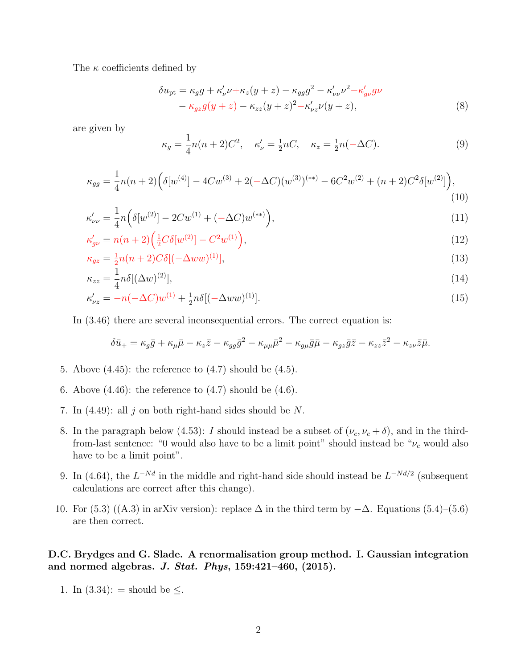The  $\kappa$  coefficients defined by

$$
\delta u_{\rm pt} = \kappa_g g + \kappa'_\nu \nu + \kappa_z (y+z) - \kappa_{gg} g^2 - \kappa'_{\nu\nu} \nu^2 - \kappa'_{g\nu} g\nu - \kappa_{gz} g (y+z) - \kappa_{zz} (y+z)^2 - \kappa'_{\nu z} \nu (y+z),
$$
\n(8)

are given by

$$
\kappa_g = \frac{1}{4}n(n+2)C^2, \quad \kappa'_\nu = \frac{1}{2}nC, \quad \kappa_z = \frac{1}{2}n(-\Delta C). \tag{9}
$$

$$
\kappa_{gg} = \frac{1}{4}n(n+2)\left(\delta[w^{(4)}] - 4Cw^{(3)} + 2(-\Delta C)(w^{(3)})^{(**)} - 6C^2w^{(2)} + (n+2)C^2\delta[w^{(2)}]\right),\tag{10}
$$

$$
\kappa_{\nu\nu}^{\prime} = \frac{1}{4} n \left( \delta[w^{(2)}] - 2Cw^{(1)} + (-\Delta C)w^{(**)} \right),\tag{11}
$$

$$
\kappa'_{g\nu} = n(n+2) \left( \frac{1}{2} C \delta[w^{(2)}] - C^2 w^{(1)} \right),\tag{12}
$$

$$
\kappa_{gz} = \frac{1}{2}n(n+2)C\delta[(-\Delta ww)^{(1)}],\tag{13}
$$

$$
\kappa_{zz} = \frac{1}{4} n \delta [(\Delta w)^{(2)}],\tag{14}
$$

$$
\kappa'_{\nu z} = -n(-\Delta C)w^{(1)} + \frac{1}{2}n\delta[(-\Delta ww)^{(1)}].
$$
\n(15)

In (3.46) there are several inconsequential errors. The correct equation is:

$$
\delta \bar{u}_{+} = \kappa_{g} \bar{g} + \kappa_{\mu} \bar{\mu} - \kappa_{z} \bar{z} - \kappa_{gg} \bar{g}^{2} - \kappa_{\mu\mu} \bar{\mu}^{2} - \kappa_{g\mu} \bar{g} \bar{\mu} - \kappa_{gz} \bar{g} \bar{z} - \kappa_{zz} \bar{z}^{2} - \kappa_{z\nu} \bar{z} \bar{\mu}.
$$

- 5. Above  $(4.45)$ : the reference to  $(4.7)$  should be  $(4.5)$ .
- 6. Above  $(4.46)$ : the reference to  $(4.7)$  should be  $(4.6)$ .
- 7. In  $(4.49)$ : all j on both right-hand sides should be N.
- 8. In the paragraph below (4.53): I should instead be a subset of  $(\nu_c, \nu_c + \delta)$ , and in the thirdfrom-last sentence: "0 would also have to be a limit point" should instead be " $\nu_c$  would also have to be a limit point".
- 9. In (4.64), the  $L^{-Nd}$  in the middle and right-hand side should instead be  $L^{-Nd/2}$  (subsequent calculations are correct after this change).
- 10. For (5.3) ((A.3) in arXiv version): replace  $\Delta$  in the third term by  $-\Delta$ . Equations (5.4)–(5.6) are then correct.

D.C. Brydges and G. Slade. A renormalisation group method. I. Gaussian integration and normed algebras. J. Stat. Phys, 159:421–460, (2015).

1. In  $(3.34):$  = should be  $\leq$ .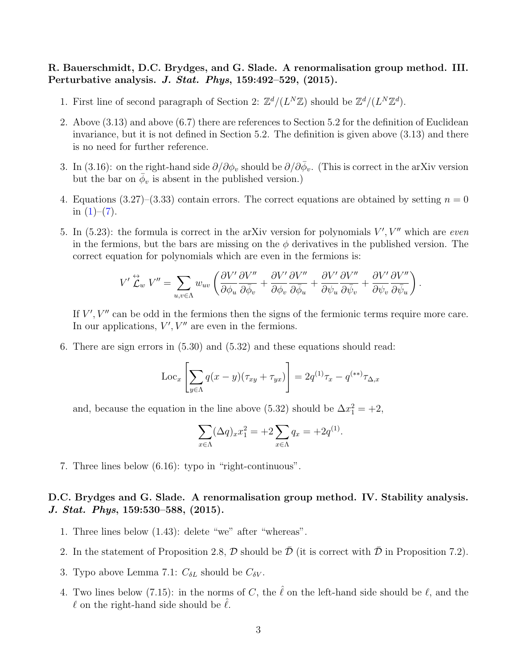#### R. Bauerschmidt, D.C. Brydges, and G. Slade. A renormalisation group method. III. Perturbative analysis. J. Stat. Phys,  $159:492-529$ ,  $(2015)$ .

- 1. First line of second paragraph of Section 2:  $\mathbb{Z}^d/(L^N\mathbb{Z})$  should be  $\mathbb{Z}^d/(L^N\mathbb{Z}^d)$ .
- 2. Above (3.13) and above (6.7) there are references to Section 5.2 for the definition of Euclidean invariance, but it is not defined in Section 5.2. The definition is given above (3.13) and there is no need for further reference.
- 3. In (3.16): on the right-hand side  $\partial/\partial \phi_v$  should be  $\partial/\partial \bar{\phi}_v$ . (This is correct in the arXiv version but the bar on  $\bar{\phi}_v$  is absent in the published version.)
- 4. Equations (3.27)–(3.33) contain errors. The correct equations are obtained by setting  $n = 0$ in  $(1)-(7)$  $(1)-(7)$  $(1)-(7)$ .
- 5. In  $(5.23)$ : the formula is correct in the arXiv version for polynomials  $V', V''$  which are even in the fermions, but the bars are missing on the  $\phi$  derivatives in the published version. The correct equation for polynomials which are even in the fermions is:

$$
V'\stackrel{\leftrightarrow}{\mathcal{L}}_{w}V'' = \sum_{u,v \in \Lambda} w_{uv} \left( \frac{\partial V'}{\partial \phi_u} \frac{\partial V''}{\partial \bar{\phi}_v} + \frac{\partial V'}{\partial \phi_v} \frac{\partial V''}{\partial \bar{\phi}_u} + \frac{\partial V'}{\partial \psi_u} \frac{\partial V''}{\partial \bar{\psi}_v} + \frac{\partial V'}{\partial \psi_v} \frac{\partial V''}{\partial \bar{\psi}_u} \right).
$$

If  $V', V''$  can be odd in the fermions then the signs of the fermionic terms require more care. In our applications,  $V'$ ,  $V''$  are even in the fermions.

6. There are sign errors in (5.30) and (5.32) and these equations should read:

$$
\operatorname{Loc}_x \left[ \sum_{y \in \Lambda} q(x - y)(\tau_{xy} + \tau_{yx}) \right] = 2q^{(1)}\tau_x - q^{(**)}\tau_{\Delta,x}
$$

and, because the equation in the line above (5.32) should be  $\Delta x_1^2 = +2$ ,

$$
\sum_{x \in \Lambda} (\Delta q)_x x_1^2 = +2 \sum_{x \in \Lambda} q_x = +2q^{(1)}.
$$

7. Three lines below (6.16): typo in "right-continuous".

## D.C. Brydges and G. Slade. A renormalisation group method. IV. Stability analysis. J. Stat. Phys, 159:530–588, (2015).

- 1. Three lines below (1.43): delete "we" after "whereas".
- 2. In the statement of Proposition 2.8,  $\mathcal D$  should be  $\bar{\mathcal D}$  (it is correct with  $\bar{\mathcal D}$  in Proposition 7.2).
- 3. Typo above Lemma 7.1:  $C_{\delta L}$  should be  $C_{\delta V}$ .
- 4. Two lines below (7.15): in the norms of C, the  $\hat{\ell}$  on the left-hand side should be  $\ell$ , and the  $\ell$  on the right-hand side should be  $\ell$ .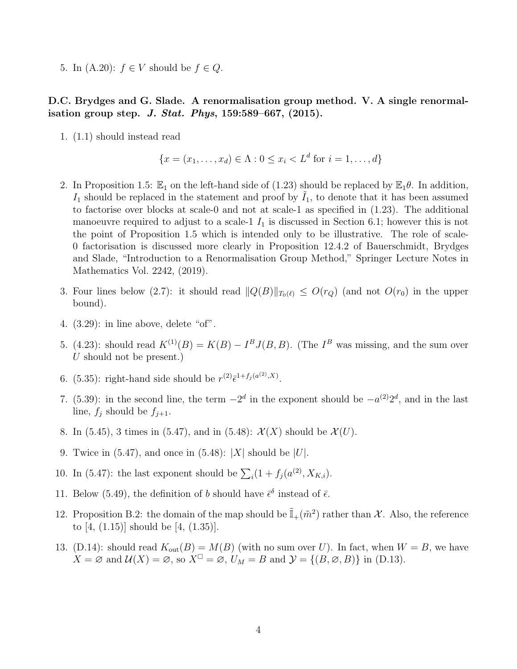5. In  $(A.20)$ :  $f \in V$  should be  $f \in Q$ .

#### D.C. Brydges and G. Slade. A renormalisation group method. V. A single renormalisation group step. J. Stat. Phys,  $159:589-667$ ,  $(2015)$ .

1. (1.1) should instead read

$$
\{x = (x_1, \dots, x_d) \in \Lambda : 0 \le x_i < L^d \text{ for } i = 1, \dots, d\}
$$

- 2. In Proposition 1.5:  $\mathbb{E}_1$  on the left-hand side of (1.23) should be replaced by  $\mathbb{E}_1\theta$ . In addition,  $I_1$  should be replaced in the statement and proof by  $I_1$ , to denote that it has been assumed to factorise over blocks at scale-0 and not at scale-1 as specified in (1.23). The additional manoeuvre required to adjust to a scale-1  $I_1$  is discussed in Section 6.1; however this is not the point of Proposition 1.5 which is intended only to be illustrative. The role of scale-0 factorisation is discussed more clearly in Proposition 12.4.2 of Bauerschmidt, Brydges and Slade, "Introduction to a Renormalisation Group Method," Springer Lecture Notes in Mathematics Vol. 2242, (2019).
- 3. Four lines below (2.7): it should read  $||Q(B)||_{T_0(\ell)} \leq O(r_Q)$  (and not  $O(r_0)$  in the upper bound).
- 4. (3.29): in line above, delete "of".
- 5. (4.23): should read  $K^{(1)}(B) = K(B) I^B J(B, B)$ . (The  $I^B$  was missing, and the sum over U should not be present.)
- 6. (5.35): right-hand side should be  $r^{(2)}\bar{\epsilon}^{1+f_j(a^{(2)},X)}$ .
- 7. (5.39): in the second line, the term  $-2^d$  in the exponent should be  $-a^{(2)}2^d$ , and in the last line,  $f_j$  should be  $f_{j+1}$ .
- 8. In (5.45), 3 times in (5.47), and in (5.48):  $\mathcal{X}(X)$  should be  $\mathcal{X}(U)$ .
- 9. Twice in  $(5.47)$ , and once in  $(5.48)$ :  $|X|$  should be  $|U|$ .
- 10. In (5.47): the last exponent should be  $\sum_{i} (1 + f_j(a^{(2)}, X_{K,i}).$
- 11. Below (5.49), the definition of b should have  $\bar{\epsilon}^{\delta}$  instead of  $\bar{\epsilon}$ .
- 12. Proposition B.2: the domain of the map should be  $\tilde{\mathbb{I}}_+(\tilde{m}^2)$  rather than X. Also, the reference to [4, (1.15)] should be [4, (1.35)].
- 13. (D.14): should read  $K_{\text{out}}(B) = M(B)$  (with no sum over U). In fact, when  $W = B$ , we have  $X = \emptyset$  and  $\mathcal{U}(X) = \emptyset$ , so  $X^{\square} = \emptyset$ ,  $U_M = B$  and  $\mathcal{Y} = \{(B, \emptyset, B)\}\$ in (D.13).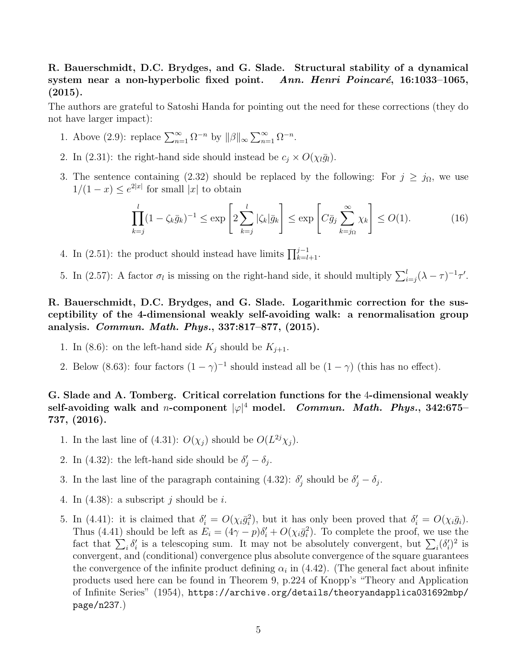## R. Bauerschmidt, D.C. Brydges, and G. Slade. Structural stability of a dynamical system near a non-hyperbolic fixed point. Ann. Henri Poincaré, 16:1033–1065,  $(2015).$

The authors are grateful to Satoshi Handa for pointing out the need for these corrections (they do not have larger impact):

- 1. Above (2.9): replace  $\sum_{n=1}^{\infty} \Omega^{-n}$  by  $||\beta||_{\infty} \sum_{n=1}^{\infty} \Omega^{-n}$ .
- 2. In (2.31): the right-hand side should instead be  $c_j \times O(\chi_l \bar{g}_l)$ .
- 3. The sentence containing (2.32) should be replaced by the following: For  $j \ge j_{\Omega}$ , we use  $1/(1-x) \leq e^{2|x|}$  for small |x| to obtain

$$
\prod_{k=j}^{l} (1 - \zeta_k \bar{g}_k)^{-1} \le \exp\left[2 \sum_{k=j}^{l} |\zeta_k| \bar{g}_k\right] \le \exp\left[C \bar{g}_j \sum_{k=j_{\Omega}}^{\infty} \chi_k\right] \le O(1). \tag{16}
$$

- 4. In (2.51): the product should instead have limits  $\prod_{k=l+1}^{j-1}$ .
- 5. In (2.57): A factor  $\sigma_l$  is missing on the right-hand side, it should multiply  $\sum_{i=j}^{l} (\lambda \tau)^{-1} \tau'$ .

R. Bauerschmidt, D.C. Brydges, and G. Slade. Logarithmic correction for the susceptibility of the 4-dimensional weakly self-avoiding walk: a renormalisation group analysis. Commun. Math. Phys., 337:817–877, (2015).

- 1. In (8.6): on the left-hand side  $K_j$  should be  $K_{j+1}$ .
- 2. Below (8.63): four factors  $(1 \gamma)^{-1}$  should instead all be  $(1 \gamma)$  (this has no effect).

G. Slade and A. Tomberg. Critical correlation functions for the 4-dimensional weakly self-avoiding walk and n-component  $|\varphi|^4$  model.  $\emph{Commun. Math. Phys.}, 342:675-$ 737, (2016).

- 1. In the last line of (4.31):  $O(\chi_j)$  should be  $O(L^{2j}\chi_j)$ .
- 2. In (4.32): the left-hand side should be  $\delta'_j \delta_j$ .
- 3. In the last line of the paragraph containing (4.32):  $\delta'_{j}$  should be  $\delta'_{j} \delta_{j}$ .
- 4. In  $(4.38)$ : a subscript j should be i.
- 5. In (4.41): it is claimed that  $\delta_i' = O(\chi_i \bar{g}_i^2)$ , but it has only been proved that  $\delta_i' = O(\chi_i \bar{g}_i)$ . Thus (4.41) should be left as  $E_i = (4\gamma - p)\delta'_i + O(\chi_i \bar{g}_i^2)$ . To complete the proof, we use the fact that  $\sum_i \delta'_i$  is a telescoping sum. It may not be absolutely convergent, but  $\sum_i (\delta'_i)^2$  is convergent, and (conditional) convergence plus absolute convergence of the square guarantees the convergence of the infinite product defining  $\alpha_i$  in (4.42). (The general fact about infinite products used here can be found in Theorem 9, p.224 of Knopp's "Theory and Application of Infinite Series" (1954), [https://archive.org/details/theoryandapplica031692mbp/](https://archive.org/details/theoryandapplica031692mbp/page/n237) [page/n237](https://archive.org/details/theoryandapplica031692mbp/page/n237).)